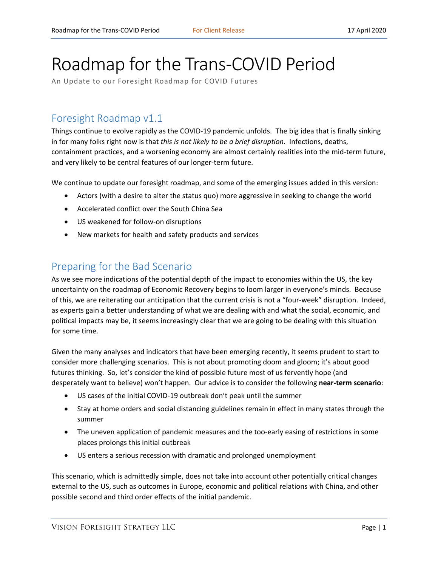# Roadmap for the Trans-COVID Period

An Update to our Foresight Roadmap for COVID Futures

## Foresight Roadmap v1.1

Things continue to evolve rapidly as the COVID-19 pandemic unfolds. The big idea that is finally sinking in for many folks right now is that *this is not likely to be a brief disruption*. Infections, deaths, containment practices, and a worsening economy are almost certainly realities into the mid-term future, and very likely to be central features of our longer-term future.

We continue to update our foresight roadmap, and some of the emerging issues added in this version:

- Actors (with a desire to alter the status quo) more aggressive in seeking to change the world
- Accelerated conflict over the South China Sea
- US weakened for follow-on disruptions
- New markets for health and safety products and services

## Preparing for the Bad Scenario

As we see more indications of the potential depth of the impact to economies within the US, the key uncertainty on the roadmap of Economic Recovery begins to loom larger in everyone's minds. Because of this, we are reiterating our anticipation that the current crisis is not a "four-week" disruption. Indeed, as experts gain a better understanding of what we are dealing with and what the social, economic, and political impacts may be, it seems increasingly clear that we are going to be dealing with this situation for some time.

Given the many analyses and indicators that have been emerging recently, it seems prudent to start to consider more challenging scenarios. This is not about promoting doom and gloom; it's about good futures thinking. So, let's consider the kind of possible future most of us fervently hope (and desperately want to believe) won't happen. Our advice is to consider the following **near-term scenario**:

- US cases of the initial COVID-19 outbreak don't peak until the summer
- Stay at home orders and social distancing guidelines remain in effect in many states through the summer
- The uneven application of pandemic measures and the too-early easing of restrictions in some places prolongs this initial outbreak
- US enters a serious recession with dramatic and prolonged unemployment

This scenario, which is admittedly simple, does not take into account other potentially critical changes external to the US, such as outcomes in Europe, economic and political relations with China, and other possible second and third order effects of the initial pandemic.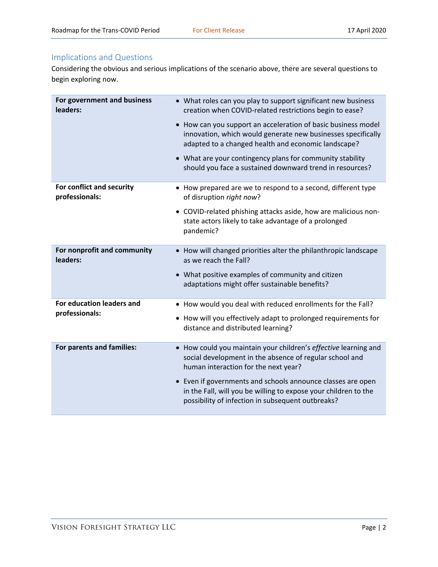### Implications and Questions

Considering the obvious and serious implications of the scenario above, there are several questions to begin exploring now.

| For government and business<br>leaders:     | • What roles can you play to support significant new business<br>creation when COVID-related restrictions begin to ease?<br>• How can you support an acceleration of basic business model<br>innovation, which would generate new businesses specifically<br>adapted to a changed health and economic landscape?<br>• What are your contingency plans for community stability |
|---------------------------------------------|-------------------------------------------------------------------------------------------------------------------------------------------------------------------------------------------------------------------------------------------------------------------------------------------------------------------------------------------------------------------------------|
|                                             | should you face a sustained downward trend in resources?                                                                                                                                                                                                                                                                                                                      |
| For conflict and security<br>professionals: | • How prepared are we to respond to a second, different type<br>of disruption right now?                                                                                                                                                                                                                                                                                      |
|                                             | • COVID-related phishing attacks aside, how are malicious non-<br>state actors likely to take advantage of a prolonged<br>pandemic?                                                                                                                                                                                                                                           |
| For nonprofit and community<br>leaders:     | • How will changed priorities alter the philanthropic landscape<br>as we reach the Fall?                                                                                                                                                                                                                                                                                      |
|                                             | • What positive examples of community and citizen<br>adaptations might offer sustainable benefits?                                                                                                                                                                                                                                                                            |
| For education leaders and<br>professionals: | • How would you deal with reduced enrollments for the Fall?                                                                                                                                                                                                                                                                                                                   |
|                                             | • How will you effectively adapt to prolonged requirements for<br>distance and distributed learning?                                                                                                                                                                                                                                                                          |
| For parents and families:                   | • How could you maintain your children's effective learning and<br>social development in the absence of regular school and<br>human interaction for the next year?<br>• Even if governments and schools announce classes are open                                                                                                                                             |
|                                             | in the Fall, will you be willing to expose your children to the<br>possibility of infection in subsequent outbreaks?                                                                                                                                                                                                                                                          |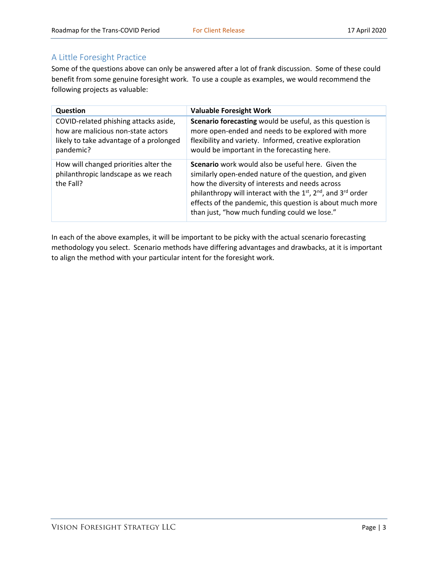#### A Little Foresight Practice

Some of the questions above can only be answered after a lot of frank discussion. Some of these could benefit from some genuine foresight work. To use a couple as examples, we would recommend the following projects as valuable:

| <b>Question</b>                                                                                                                     | <b>Valuable Foresight Work</b>                                                                                                                                                                                                                                                                                                                             |
|-------------------------------------------------------------------------------------------------------------------------------------|------------------------------------------------------------------------------------------------------------------------------------------------------------------------------------------------------------------------------------------------------------------------------------------------------------------------------------------------------------|
| COVID-related phishing attacks aside,<br>how are malicious non-state actors<br>likely to take advantage of a prolonged<br>pandemic? | Scenario forecasting would be useful, as this question is<br>more open-ended and needs to be explored with more<br>flexibility and variety. Informed, creative exploration<br>would be important in the forecasting here.                                                                                                                                  |
| How will changed priorities alter the<br>philanthropic landscape as we reach<br>the Fall?                                           | <b>Scenario</b> work would also be useful here. Given the<br>similarly open-ended nature of the question, and given<br>how the diversity of interests and needs across<br>philanthropy will interact with the $1st$ , $2nd$ , and $3rd$ order<br>effects of the pandemic, this question is about much more<br>than just, "how much funding could we lose." |

In each of the above examples, it will be important to be picky with the actual scenario forecasting methodology you select. Scenario methods have differing advantages and drawbacks, at it is important to align the method with your particular intent for the foresight work.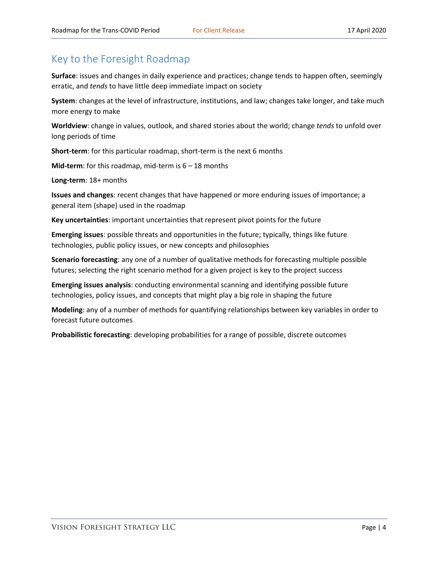# Key to the Foresight Roadmap

**Surface**: issues and changes in daily experience and practices; change tends to happen often, seemingly erratic, and *tends* to have little deep immediate impact on society

**System**: changes at the level of infrastructure, institutions, and law; changes take longer, and take much more energy to make

**Worldview**: change in values, outlook, and shared stories about the world; change *tends* to unfold over long periods of time

**Short-term**: for this particular roadmap, short-term is the next 6 months

**Mid-term**: for this roadmap, mid-term is 6 – 18 months

**Long-term**: 18+ months

**Issues and changes**: recent changes that have happened or more enduring issues of importance; a general item (shape) used in the roadmap

**Key uncertainties**: important uncertainties that represent pivot points for the future

**Emerging issues**: possible threats and opportunities in the future; typically, things like future technologies, public policy issues, or new concepts and philosophies

**Scenario forecasting**: any one of a number of qualitative methods for forecasting multiple possible futures; selecting the right scenario method for a given project is key to the project success

**Emerging issues analysis**: conducting environmental scanning and identifying possible future technologies, policy issues, and concepts that might play a big role in shaping the future

**Modeling**: any of a number of methods for quantifying relationships between key variables in order to forecast future outcomes

**Probabilistic forecasting**: developing probabilities for a range of possible, discrete outcomes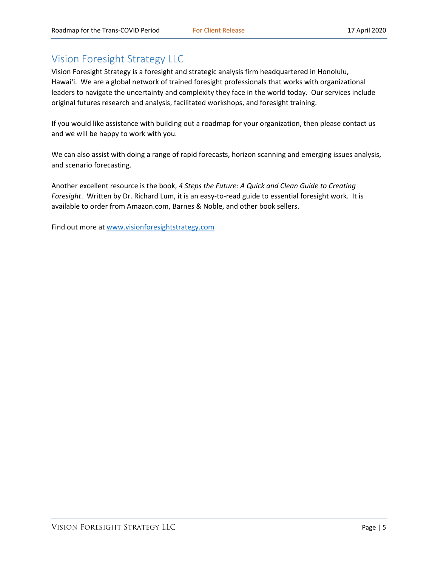# Vision Foresight Strategy LLC

Vision Foresight Strategy is a foresight and strategic analysis firm headquartered in Honolulu, Hawai'i. We are a global network of trained foresight professionals that works with organizational leaders to navigate the uncertainty and complexity they face in the world today. Our services include original futures research and analysis, facilitated workshops, and foresight training.

If you would like assistance with building out a roadmap for your organization, then please contact us and we will be happy to work with you.

We can also assist with doing a range of rapid forecasts, horizon scanning and emerging issues analysis, and scenario forecasting.

Another excellent resource is the book, *4 Steps the Future: A Quick and Clean Guide to Creating Foresight*. Written by Dr. Richard Lum, it is an easy-to-read guide to essential foresight work. It is available to order from Amazon.com, Barnes & Noble, and other book sellers.

Find out more at [www.visionforesightstrategy.com](http://www.visionforesightstrategy.com/)